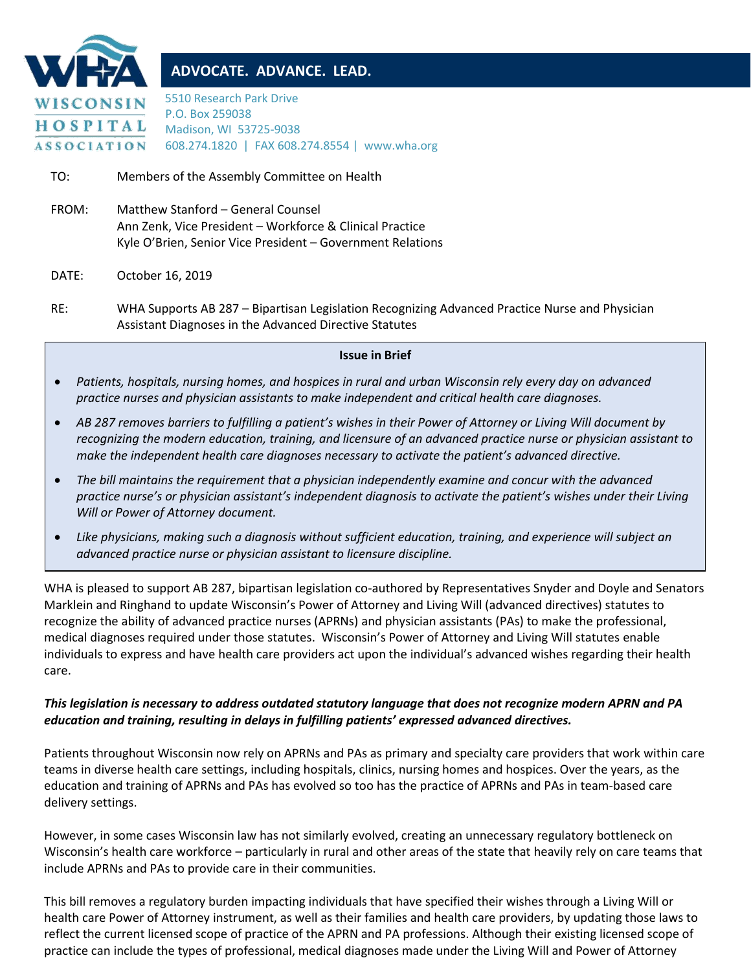

# **ADVOCATE. ADVANCE. LEAD.**

5510 Research Park Drive P.O. Box 259038 Madison, WI 53725-9038 608.274.1820 | FAX 608.274.8554 | www.wha.org

TO: Members of the Assembly Committee on Health

FROM: Matthew Stanford – General Counsel Ann Zenk, Vice President – Workforce & Clinical Practice Kyle O'Brien, Senior Vice President – Government Relations

### DATE: October 16, 2019

RE: WHA Supports AB 287 – Bipartisan Legislation Recognizing Advanced Practice Nurse and Physician Assistant Diagnoses in the Advanced Directive Statutes

#### **Issue in Brief**

- *Patients, hospitals, nursing homes, and hospices in rural and urban Wisconsin rely every day on advanced practice nurses and physician assistants to make independent and critical health care diagnoses.*
- *AB 287 removes barriers to fulfilling a patient's wishes in their Power of Attorney or Living Will document by recognizing the modern education, training, and licensure of an advanced practice nurse or physician assistant to make the independent health care diagnoses necessary to activate the patient's advanced directive.*
- *The bill maintains the requirement that a physician independently examine and concur with the advanced practice nurse's or physician assistant's independent diagnosis to activate the patient's wishes under their Living Will or Power of Attorney document.*
- *Like physicians, making such a diagnosis without sufficient education, training, and experience will subject an advanced practice nurse or physician assistant to licensure discipline.*

WHA is pleased to support AB 287, bipartisan legislation co-authored by Representatives Snyder and Doyle and Senators Marklein and Ringhand to update Wisconsin's Power of Attorney and Living Will (advanced directives) statutes to recognize the ability of advanced practice nurses (APRNs) and physician assistants (PAs) to make the professional, medical diagnoses required under those statutes. Wisconsin's Power of Attorney and Living Will statutes enable individuals to express and have health care providers act upon the individual's advanced wishes regarding their health care.

### *This legislation is necessary to address outdated statutory language that does not recognize modern APRN and PA education and training, resulting in delays in fulfilling patients' expressed advanced directives.*

Patients throughout Wisconsin now rely on APRNs and PAs as primary and specialty care providers that work within care teams in diverse health care settings, including hospitals, clinics, nursing homes and hospices. Over the years, as the education and training of APRNs and PAs has evolved so too has the practice of APRNs and PAs in team-based care delivery settings.

However, in some cases Wisconsin law has not similarly evolved, creating an unnecessary regulatory bottleneck on Wisconsin's health care workforce – particularly in rural and other areas of the state that heavily rely on care teams that include APRNs and PAs to provide care in their communities.

This bill removes a regulatory burden impacting individuals that have specified their wishes through a Living Will or health care Power of Attorney instrument, as well as their families and health care providers, by updating those laws to reflect the current licensed scope of practice of the APRN and PA professions. Although their existing licensed scope of practice can include the types of professional, medical diagnoses made under the Living Will and Power of Attorney